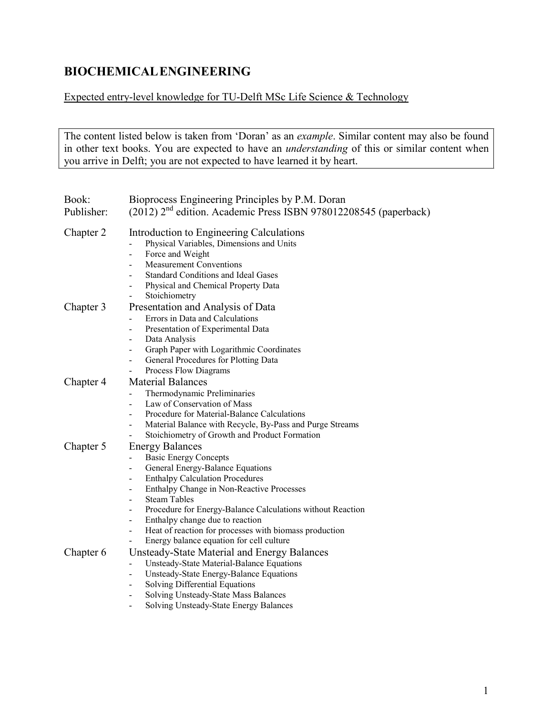## **BIOCHEMICALENGINEERING**

## Expected entry-level knowledge for TU-Delft MSc Life Science & Technology

The content listed below is taken from 'Doran' as an *example*. Similar content may also be found in other text books. You are expected to have an *understanding* of this or similar content when you arrive in Delft; you are not expected to have learned it by heart.

| Book:<br>Publisher: | Bioprocess Engineering Principles by P.M. Doran<br>(2012) 2 <sup>nd</sup> edition. Academic Press ISBN 978012208545 (paperback)                                                                                                                                                                                                                                                                                                                                                                                           |
|---------------------|---------------------------------------------------------------------------------------------------------------------------------------------------------------------------------------------------------------------------------------------------------------------------------------------------------------------------------------------------------------------------------------------------------------------------------------------------------------------------------------------------------------------------|
| Chapter 2           | Introduction to Engineering Calculations<br>Physical Variables, Dimensions and Units<br>Force and Weight<br>$\frac{1}{2}$<br><b>Measurement Conventions</b><br>$\overline{\phantom{0}}$<br><b>Standard Conditions and Ideal Gases</b><br>Physical and Chemical Property Data                                                                                                                                                                                                                                              |
| Chapter 3           | Stoichiometry<br>Presentation and Analysis of Data<br>Errors in Data and Calculations<br>Presentation of Experimental Data<br>Data Analysis<br>Graph Paper with Logarithmic Coordinates<br>General Procedures for Plotting Data<br>$\overline{\phantom{0}}$<br>Process Flow Diagrams<br>$\overline{\phantom{0}}$                                                                                                                                                                                                          |
| Chapter 4           | <b>Material Balances</b><br>Thermodynamic Preliminaries<br>$\overline{\phantom{0}}$<br>Law of Conservation of Mass<br>$\overline{\phantom{a}}$<br>Procedure for Material-Balance Calculations<br>$\blacksquare$<br>Material Balance with Recycle, By-Pass and Purge Streams<br>Stoichiometry of Growth and Product Formation                                                                                                                                                                                              |
| Chapter 5           | <b>Energy Balances</b><br><b>Basic Energy Concepts</b><br>General Energy-Balance Equations<br><b>Enthalpy Calculation Procedures</b><br>Enthalpy Change in Non-Reactive Processes<br><b>Steam Tables</b><br>$\overline{a}$<br>Procedure for Energy-Balance Calculations without Reaction<br>$\overline{\phantom{0}}$<br>Enthalpy change due to reaction<br>$\qquad \qquad \blacksquare$<br>Heat of reaction for processes with biomass production<br>$\overline{\phantom{0}}$<br>Energy balance equation for cell culture |
| Chapter 6           | Unsteady-State Material and Energy Balances<br>Unsteady-State Material-Balance Equations<br>$\overline{\phantom{0}}$<br>Unsteady-State Energy-Balance Equations<br>-<br>Solving Differential Equations<br>Solving Unsteady-State Mass Balances<br>Solving Unsteady-State Energy Balances                                                                                                                                                                                                                                  |